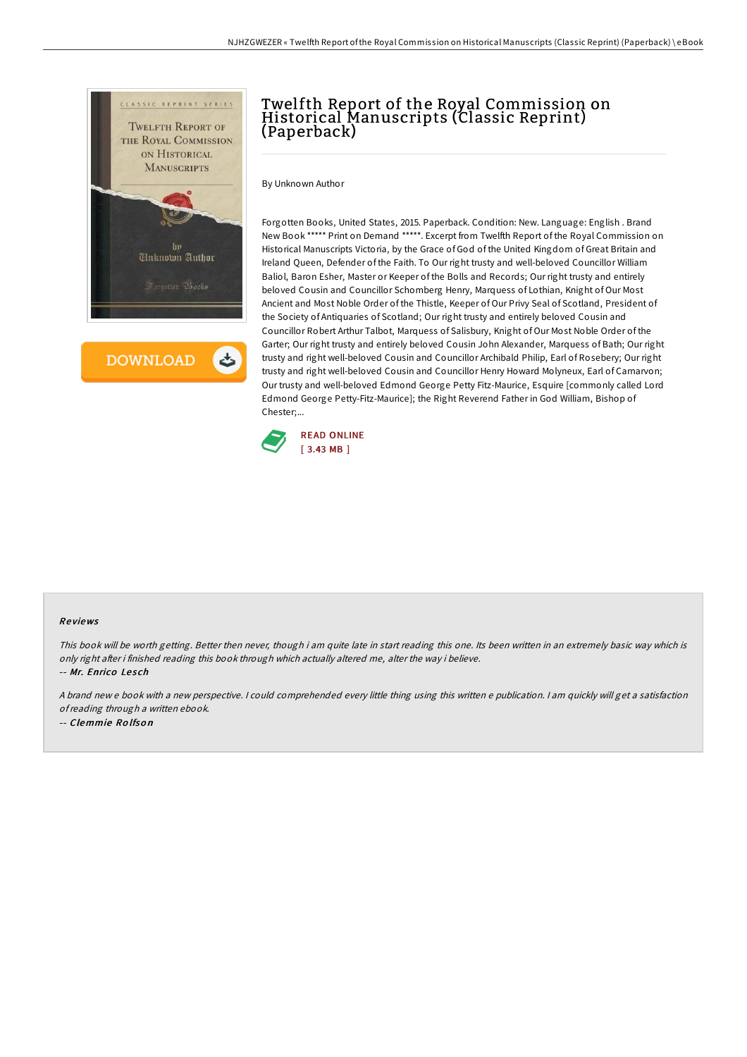

**DOWNLOAD** 

## Twelfth Report of the Royal Commission on Historical Manuscripts (Classic Reprint) (Paperback)

By Unknown Author

Forgotten Books, United States, 2015. Paperback. Condition: New. Language: English . Brand New Book \*\*\*\*\* Print on Demand \*\*\*\*\*. Excerpt from Twelfth Report of the Royal Commission on Historical Manuscripts Victoria, by the Grace of God of the United Kingdom of Great Britain and Ireland Queen, Defender of the Faith. To Our right trusty and well-beloved Councillor William Baliol, Baron Esher, Master or Keeper of the Bolls and Records; Our right trusty and entirely beloved Cousin and Councillor Schomberg Henry, Marquess of Lothian, Knight of Our Most Ancient and Most Noble Order of the Thistle, Keeper of Our Privy Seal of Scotland, President of the Society of Antiquaries of Scotland; Our right trusty and entirely beloved Cousin and Councillor Robert Arthur Talbot, Marquess of Salisbury, Knight of Our Most Noble Order of the Garter; Our right trusty and entirely beloved Cousin John Alexander, Marquess of Bath; Our right trusty and right well-beloved Cousin and Councillor Archibald Philip, Earl of Rosebery; Our right trusty and right well-beloved Cousin and Councillor Henry Howard Molyneux, Earl of Carnarvon; Our trusty and well-beloved Edmond George Petty Fitz-Maurice, Esquire [commonly called Lord Edmond George Petty-Fitz-Maurice]; the Right Reverend Father in God William, Bishop of Chester;...



## Re views

This book will be worth getting. Better then never, though i am quite late in start reading this one. Its been written in an extremely basic way which is only right after i finished reading this book through which actually altered me, alter the way i believe.

-- Mr. Enrico Lesch

<sup>A</sup> brand new <sup>e</sup> book with <sup>a</sup> new perspective. <sup>I</sup> could comprehended every little thing using this written <sup>e</sup> publication. <sup>I</sup> am quickly will get <sup>a</sup> satisfaction ofreading through <sup>a</sup> written ebook. -- Clemmie Ro lfso <sup>n</sup>